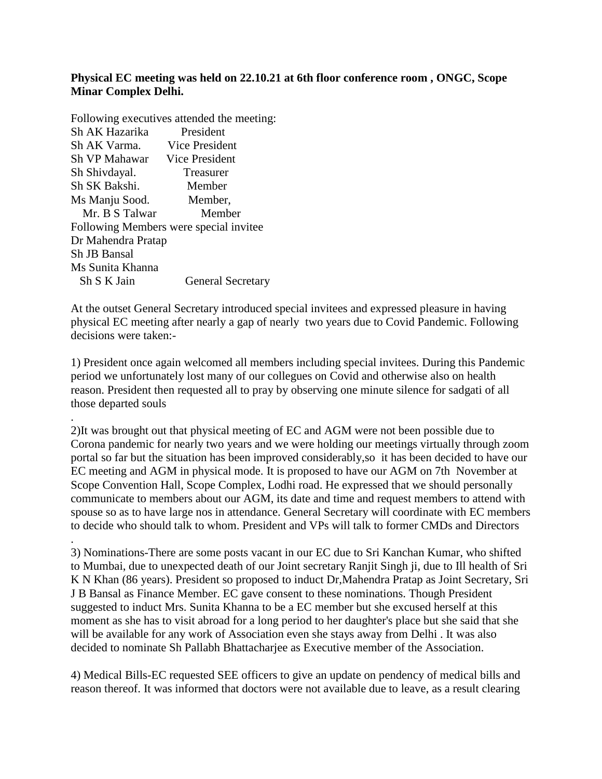## **Physical EC meeting was held on 22.10.21 at 6th floor conference room , ONGC, Scope Minar Complex Delhi.**

Following executives attended the meeting: Sh AK Hazarika President Sh AK Varma. Vice President Sh VP Mahawar Vice President Sh Shivdayal. Treasurer Sh SK Bakshi. Member Ms Manju Sood. Member, Mr. B S Talwar Member Following Members were special invitee Dr Mahendra Pratap Sh JB Bansal Ms Sunita Khanna Sh S K Jain General Secretary

.

At the outset General Secretary introduced special invitees and expressed pleasure in having physical EC meeting after nearly a gap of nearly two years due to Covid Pandemic. Following decisions were taken:-

1) President once again welcomed all members including special invitees. During this Pandemic period we unfortunately lost many of our collegues on Covid and otherwise also on health reason. President then requested all to pray by observing one minute silence for sadgati of all those departed souls

2)It was brought out that physical meeting of EC and AGM were not been possible due to Corona pandemic for nearly two years and we were holding our meetings virtually through zoom portal so far but the situation has been improved considerably,so it has been decided to have our EC meeting and AGM in physical mode. It is proposed to have our AGM on 7th November at Scope Convention Hall, Scope Complex, Lodhi road. He expressed that we should personally communicate to members about our AGM, its date and time and request members to attend with spouse so as to have large nos in attendance. General Secretary will coordinate with EC members to decide who should talk to whom. President and VPs will talk to former CMDs and Directors

. 3) Nominations-There are some posts vacant in our EC due to Sri Kanchan Kumar, who shifted to Mumbai, due to unexpected death of our Joint secretary Ranjit Singh ji, due to Ill health of Sri K N Khan (86 years). President so proposed to induct Dr,Mahendra Pratap as Joint Secretary, Sri J B Bansal as Finance Member. EC gave consent to these nominations. Though President suggested to induct Mrs. Sunita Khanna to be a EC member but she excused herself at this moment as she has to visit abroad for a long period to her daughter's place but she said that she will be available for any work of Association even she stays away from Delhi . It was also decided to nominate Sh Pallabh Bhattacharjee as Executive member of the Association.

4) Medical Bills-EC requested SEE officers to give an update on pendency of medical bills and reason thereof. It was informed that doctors were not available due to leave, as a result clearing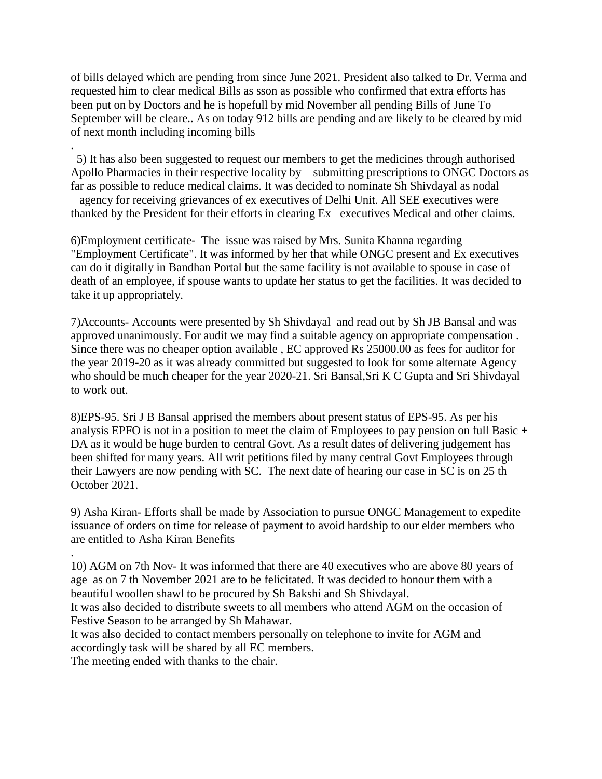of bills delayed which are pending from since June 2021. President also talked to Dr. Verma and requested him to clear medical Bills as sson as possible who confirmed that extra efforts has been put on by Doctors and he is hopefull by mid November all pending Bills of June To September will be cleare.. As on today 912 bills are pending and are likely to be cleared by mid of next month including incoming bills

5) It has also been suggested to request our members to get the medicines through authorised Apollo Pharmacies in their respective locality by submitting prescriptions to ONGC Doctors as far as possible to reduce medical claims. It was decided to nominate Sh Shivdayal as nodal agency for receiving grievances of ex executives of Delhi Unit. All SEE executives were

6)Employment certificate- The issue was raised by Mrs. Sunita Khanna regarding "Employment Certificate". It was informed by her that while ONGC present and Ex executives can do it digitally in Bandhan Portal but the same facility is not available to spouse in case of death of an employee, if spouse wants to update her status to get the facilities. It was decided to take it up appropriately.

thanked by the President for their efforts in clearing Ex executives Medical and other claims.

7)Accounts- Accounts were presented by Sh Shivdayal and read out by Sh JB Bansal and was approved unanimously. For audit we may find a suitable agency on appropriate compensation . Since there was no cheaper option available , EC approved Rs 25000.00 as fees for auditor for the year 2019-20 as it was already committed but suggested to look for some alternate Agency who should be much cheaper for the year 2020-21. Sri Bansal,Sri K C Gupta and Sri Shivdayal to work out.

8)EPS-95. Sri J B Bansal apprised the members about present status of EPS-95. As per his analysis EPFO is not in a position to meet the claim of Employees to pay pension on full Basic + DA as it would be huge burden to central Govt. As a result dates of delivering judgement has been shifted for many years. All writ petitions filed by many central Govt Employees through their Lawyers are now pending with SC. The next date of hearing our case in SC is on 25 th October 2021.

9) Asha Kiran- Efforts shall be made by Association to pursue ONGC Management to expedite issuance of orders on time for release of payment to avoid hardship to our elder members who are entitled to Asha Kiran Benefits

. 10) AGM on 7th Nov- It was informed that there are 40 executives who are above 80 years of age as on 7 th November 2021 are to be felicitated. It was decided to honour them with a beautiful woollen shawl to be procured by Sh Bakshi and Sh Shivdayal.

It was also decided to distribute sweets to all members who attend AGM on the occasion of Festive Season to be arranged by Sh Mahawar.

It was also decided to contact members personally on telephone to invite for AGM and accordingly task will be shared by all EC members.

The meeting ended with thanks to the chair.

.